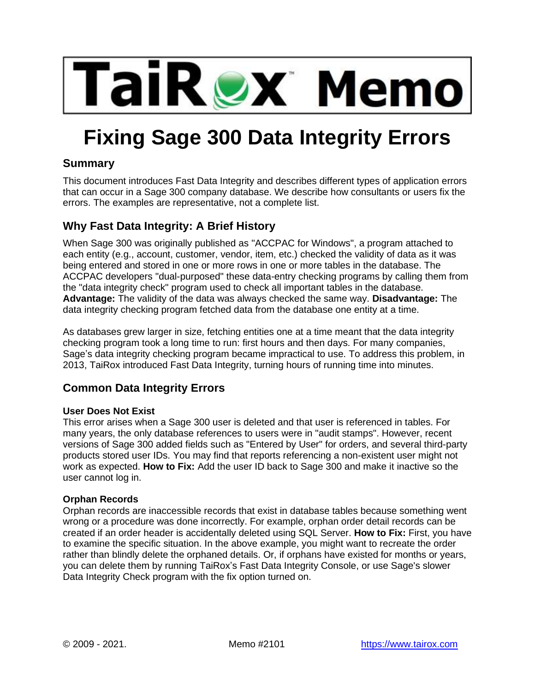

# **Fixing Sage 300 Data Integrity Errors**

## **Summary**

This document introduces Fast Data Integrity and describes different types of application errors that can occur in a Sage 300 company database. We describe how consultants or users fix the errors. The examples are representative, not a complete list.

## **Why Fast Data Integrity: A Brief History**

When Sage 300 was originally published as "ACCPAC for Windows", a program attached to each entity (e.g., account, customer, vendor, item, etc.) checked the validity of data as it was being entered and stored in one or more rows in one or more tables in the database. The ACCPAC developers "dual-purposed" these data-entry checking programs by calling them from the "data integrity check" program used to check all important tables in the database. **Advantage:** The validity of the data was always checked the same way. **Disadvantage:** The data integrity checking program fetched data from the database one entity at a time.

As databases grew larger in size, fetching entities one at a time meant that the data integrity checking program took a long time to run: first hours and then days. For many companies, Sage's data integrity checking program became impractical to use. To address this problem, in 2013, TaiRox introduced Fast Data Integrity, turning hours of running time into minutes.

## **Common Data Integrity Errors**

### **User Does Not Exist**

This error arises when a Sage 300 user is deleted and that user is referenced in tables. For many years, the only database references to users were in "audit stamps". However, recent versions of Sage 300 added fields such as "Entered by User" for orders, and several third-party products stored user IDs. You may find that reports referencing a non-existent user might not work as expected. **How to Fix:** Add the user ID back to Sage 300 and make it inactive so the user cannot log in.

#### **Orphan Records**

Orphan records are inaccessible records that exist in database tables because something went wrong or a procedure was done incorrectly. For example, orphan order detail records can be created if an order header is accidentally deleted using SQL Server. **How to Fix:** First, you have to examine the specific situation. In the above example, you might want to recreate the order rather than blindly delete the orphaned details. Or, if orphans have existed for months or years, you can delete them by running TaiRox's Fast Data Integrity Console, or use Sage's slower Data Integrity Check program with the fix option turned on.